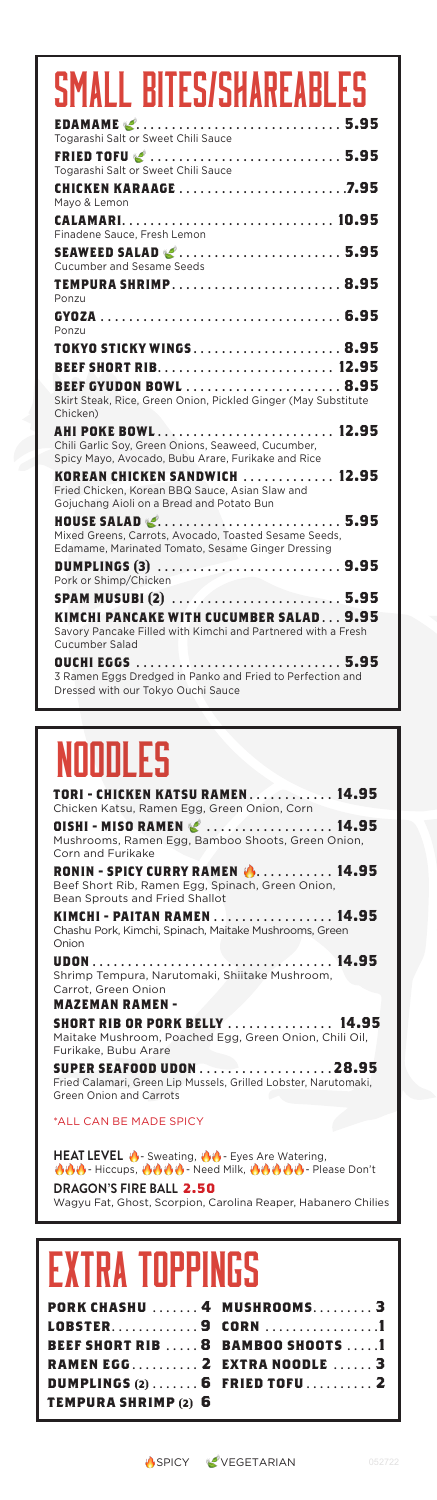### **EDAMAME**  . . . . . . . . . . . . . . . . . . . . . . . . . . . . . **5.95** Togarashi Salt or Sweet Chili Sauce **FRIED TOFU**  . . . . . . . . . . . . . . . . . . . . . . . . . . . **5.95** Togarashi Salt or Sweet Chili Sauce **CHICKEN KARAAGE** . . . . . . . . . . . . . . . . . . . . . . . **7.95** Mayo & Lemon **CALAMARI** . . . . . . . . . . . . . . . . . . . . . . . . . . . . . . **10.95** Finadene Sauce, Fresh Lemon **SEAWEED SALAD**  . . . . . . . . . . . . . . . . . . . . . . . **5.95** Cucumber and Sesame Seeds **TEMPURA SHRIMP** . . . . . . . . . . . . . . . . . . . . . . . . **8.95** Ponzu **GYOZA** . . . . . . . . . . . . . . . . . . . . . . . . . . . . . . . . . . **6.95** Ponzu **TOKYO STICKY WINGS** . . . . . . . . . . . . . . . . . . . . . **8.95 BEEF SHORT RIB** . . . . . . . . . . . . . . . . . . . . . . . . . **12.95 BEEF GYUDON BOWL** . . . . . . . . . . . . . . . . . . . . . . **8.95** Skirt Steak, Rice, Green Onion, Pickled Ginger (May Substitute Chicken) **AHI POKE BOWL** . . . . . . . . . . . . . . . . . . . . . . . . . **12.95** Chili Garlic Soy, Green Onions, Seaweed, Cucumber, Spicy Mayo, Avocado, Bubu Arare, Furikake and Rice **KOREAN CHICKEN SANDWICH** . . . . . . . . . . . . **12.95** Fried Chicken, Korean BBQ Sauce, Asian Slaw and Gojuchang Aioli on a Bread and Potato Bun **HOUSE SALAD**  . . . . . . . . . . . . . . . . . . . . . . . . . . **5.95** Mixed Greens, Carrots, Avocado, Toasted Sesame Seeds, Edamame, Marinated Tomato, Sesame Ginger Dressing **DUMPLINGS (3)** . . . . . . . . . . . . . . . . . . . . . . . . . . **9.95** Pork or Shimp/Chicken **SPAM MUSUBI (2)** . . . . . . . . . . . . . . . . . . . . . . . . **5.95 KIMCHI PANCAKE WITH CUCUMBER SALAD** . . . **9.95** Savory Pancake Filled with Kimchi and Partnered with a Fresh Cucumber Salad **OUCHI EGGS** . . . . . . . . . . . . . . . . . . . . . . . . . . . . . **5.95** 3 Ramen Eggs Dredged in Panko and Fried to Perfection and Dressed with our Tokyo Ouchi Sauce SMALL BITES/SHAREABL

## noodles

**TORI - CHICKEN KATSU RAMEN** . . . . . . . . . . . . **14.95** Chicken Katsu, Ramen Egg, Green Onion, Corn **OISHI - MISO RAMEN**  . . . . . . . . . . . . . . . . . . **14.95** Mushrooms, Ramen Egg, Bamboo Shoots, Green Onion, Corn and Furikake **RONIN - SPICY CURRY RAMEN (\* . . . . . . . . . . 14.95)**<br>Beef Short Rib, Ramen Egg, Spinach, Green Onion, Bean Sprouts and Fried Shallot **KIMCHI - PAITAN RAMEN** . . . . . . . . . . . . . . . . . **14.95** Chashu Pork, Kimchi, Spinach, Maitake Mushrooms, Green Onion **UDON** . . . . . . . . . . . . . . . . . . . . . . . . . . . . . . . . . . **14.95** Shrimp Tempura, Narutomaki, Shiitake Mushroom, - .<br>Carrot, Green Onior **MAZEMAN RAMEN - SHORT RIB OR PORK BELLY** . . . . . . . . . . . . . . . **14.95** Maitake Mushroom, Poached Egg, Green Onion, Chili Oil,

Furikake, Bubu Arare **SUPER SEAFOOD UDON** . . . . . . . . . . . . . . . . . . **28.95** Fried Calamari, Green Lip Mussels, Grilled Lobster, Narutomaki, Green Onion and Carrots

#### \*ALL CAN BE MADE SPICY

HEAT LEVEL **8** - Sweating, 88 - Eyes Are Watering, **小心 - Hiccups, 小心心心 - Need Milk, 心心心心** - Please Don't **DRAGON'S FIRE BALL 2.50** Wagyu Fat, Ghost, Scorpion, Carolina Reaper, Habanero Chilies

## FXTRA TNPPII

|                            | PORK CHASHU  4 MUSHROOMS 3                |
|----------------------------|-------------------------------------------|
|                            | LOBSTER9 CORN 1                           |
|                            | <b>BEEF SHORT RIB  8 BAMBOO SHOOTS  1</b> |
|                            | RAMEN EGG 2 EXTRA NOODLE  3               |
|                            | DUMPLINGS $(2)$ 6 FRIED TOFU 2            |
| <b>TEMPURA SHRIMP(2) 6</b> |                                           |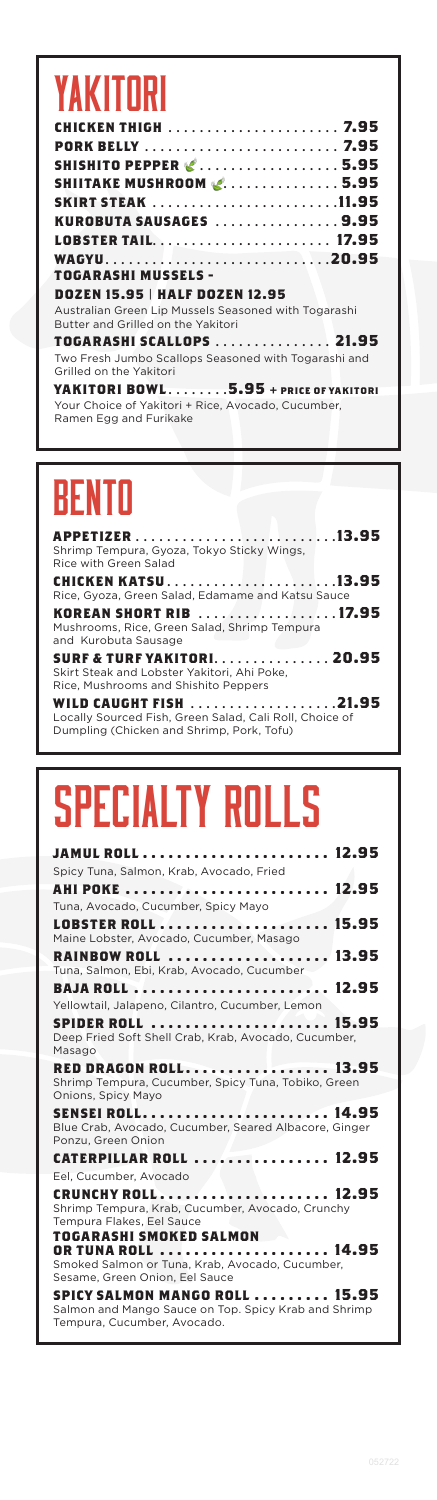## YAKITORI

| <b>CHICKEN THIGH</b> 7.95                                                                  |  |
|--------------------------------------------------------------------------------------------|--|
| <b>PORK BELLY</b> 7.95                                                                     |  |
| <b>SHISHITO PEPPER &amp; 5.95</b>                                                          |  |
| <b>SHIITAKE MUSHROOM &amp;5.95</b>                                                         |  |
| <b>SKIRT STEAK</b> 11.95                                                                   |  |
| KUROBUTA SAUSAGES 9.95                                                                     |  |
| LOBSTER TAIL 17.95                                                                         |  |
| WAGYU20.95                                                                                 |  |
| <b>TOGARASHI MUSSELS -</b>                                                                 |  |
| <b>DOZEN 15.95   HALF DOZEN 12.95</b>                                                      |  |
| Australian Green Lip Mussels Seasoned with Togarashi<br>Butter and Grilled on the Yakitori |  |
|                                                                                            |  |

**TOGARASHI SCALLOPS** . . . . . . . . . . . . . . . **21.95** Two Fresh Jumbo Scallops Seasoned with Togarashi and Grilled on the Yakitori

**YAKITORI BOWL** . . . . . . . **5.95 + price of yakitori** Your Choice of Yakitori + Rice, Avocado, Cucumber, Ramen Egg and Furikake

## BENTO

**APPETIZER** . . . . . . . . . . . . . . . . . . . . . . . . . **13.95** Shrimp Tempura, Gyoza, Tokyo Sticky Wings, Rice with Green Salad **CHICKEN KATSU** . . . . . . . . . . . . . . . . . . . . . **13.95** Rice, Gyoza, Green Salad, Edamame and Katsu Sauce **KOREAN SHORT RIB** . . . . . . . . . . . . . . . . . **17.95** Mushrooms, Rice, Green Salad, Shrimp Tempura and Kurobuta Sausage **SURF & TURF YAKITORI** . . . . . . . . . . . . . . . **20.95** Skirt Steak and Lobster Yakitori, Ahi Poke, Rice, Mushrooms and Shishito Peppers

**WILD CAUGHT FISH** . . . . . . . . . . . . . . . . . . **21.95** Locally Sourced Fish, Green Salad, Cali Roll, Choice of Dumpling (Chicken and Shrimp, Pork, Tofu)

## Specialty ROLLS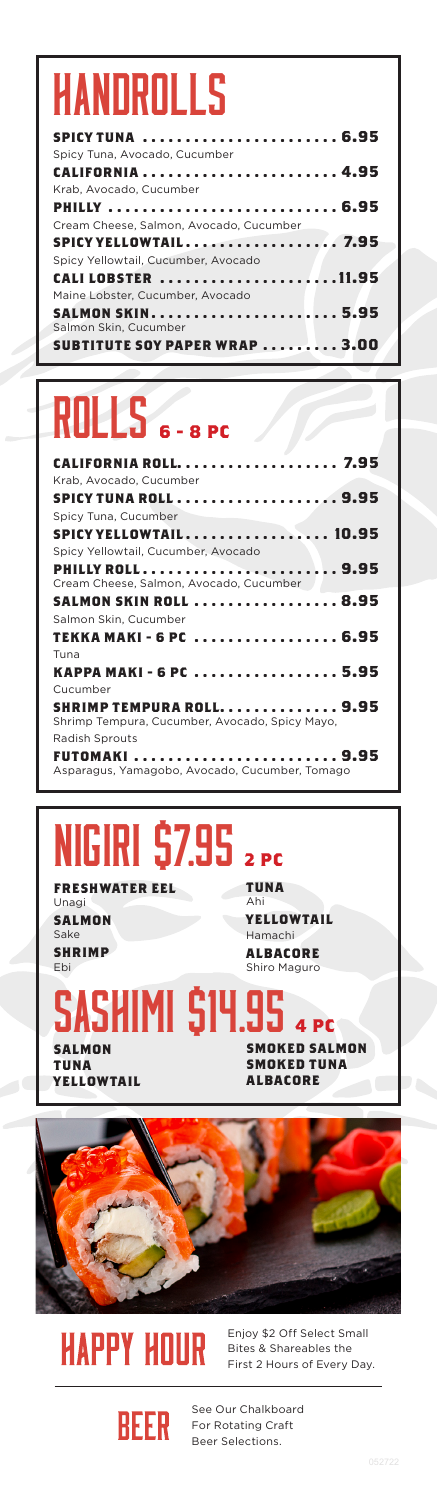## HANDROLLS

| Spicy Tuna, Avocado, Cucumber           |  |
|-----------------------------------------|--|
|                                         |  |
| Krab, Avocado, Cucumber                 |  |
| PHILLY  6.95                            |  |
| Cream Cheese, Salmon, Avocado, Cucumber |  |
|                                         |  |
| Spicy Yellowtail, Cucumber, Avocado     |  |
| CALI LOBSTER 11.95                      |  |
| Maine Lobster, Cucumber, Avocado        |  |
|                                         |  |
| Salmon Skin, Cucumber                   |  |
| <b>SUBTITUTE SOY PAPER WRAP  3.00</b>   |  |
|                                         |  |

## ROLLS **6 - 8 PC**

| CALIFORNIA ROLL 7.95                                                       |
|----------------------------------------------------------------------------|
| Krab, Avocado, Cucumber                                                    |
| <b>SPICY TUNA ROLL 9.95</b>                                                |
| Spicy Tuna, Cucumber                                                       |
| SPICY YELLOWTAIL 10.95                                                     |
| Spicy Yellowtail, Cucumber, Avocado                                        |
| <b>PHILLY ROLL 9.95</b>                                                    |
| Cream Cheese, Salmon, Avocado, Cucumber                                    |
| SALMON SKIN ROLL  8.95                                                     |
| Salmon Skin, Cucumber                                                      |
| TEKKA MAKI - 6 PC  6.95                                                    |
| Tuna                                                                       |
| KAPPA MAKI - 6 PC  5.95                                                    |
| Cucumber                                                                   |
| SHRIMP TEMPURA ROLL 9.95<br>Shrimp Tempura, Cucumber, Avocado, Spicy Mayo, |
| Radish Sprouts                                                             |
| FUTOMAKI  9.95<br>Asparagus, Yamagobo, Avocado, Cucumber, Tomago           |

### **FRESHWATER EEL** NIGIRI \$7.95 **2 PC**

Unagi **SALMON** Sake **SHRIMP** Ebi

**SALMON TUNA YELLOWTAIL** **TUNA**

Ahi **YELLOWTAIL** Hamachi **ALBACORE** Shiro Maguro

### **SMOKED SALMON SMOKED TUNA ALBACORE** SHIMI **\$14.95** 4 PC





Enjoy \$2 Off Select Small Bites & Shareables the First 2 Hours of Every Day.



See Our Chalkboard For Rotating Craft Beer Selections.